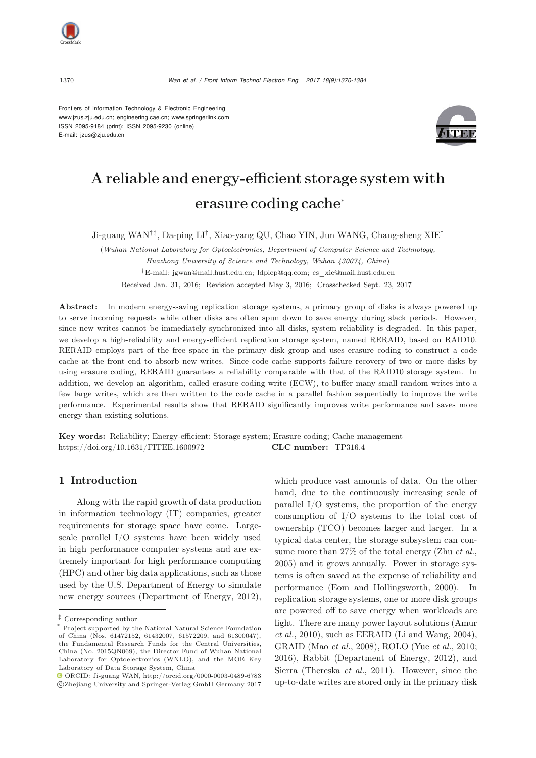

Frontiers of Information Technology & Electronic Engineering www.jzus.zju.edu.cn; engineering.cae.cn; www.springerlink.com ISSN 2095-9184 (print); ISSN 2095-9230 (online) E-mail: jzus@zju.edu.cn



# A reliable and energy-efficient storage system with erasure coding cache<sup>∗</sup>

Ji-guang WAN<sup>†‡</sup>, Da-ping LI<sup>†</sup>, Xiao-yang QU, Chao YIN, Jun WANG, Chang-sheng XIE<sup>†</sup>

(*Wuhan National Laboratory for Optoelectronics, Department of Computer Science and Technology,*

*Huazhong University of Science and Technology, Wuhan 430074, China*)

*†*E-mail: jgwan@mail.hust.edu.cn; ldplcp@qq.com; cs\_xie@mail.hust.edu.cn

Received Jan. 31, 2016; Revision accepted May 3, 2016; Crosschecked Sept. 23, 2017

Abstract: In modern energy-saving replication storage systems, a primary group of disks is always powered up to serve incoming requests while other disks are often spun down to save energy during slack periods. However, since new writes cannot be immediately synchronized into all disks, system reliability is degraded. In this paper, we develop a high-reliability and energy-efficient replication storage system, named RERAID, based on RAID10. RERAID employs part of the free space in the primary disk group and uses erasure coding to construct a code cache at the front end to absorb new writes. Since code cache supports failure recovery of two or more disks by using erasure coding, RERAID guarantees a reliability comparable with that of the RAID10 storage system. In addition, we develop an algorithm, called erasure coding write (ECW), to buffer many small random writes into a few large writes, which are then written to the code cache in a parallel fashion sequentially to improve the write performance. Experimental results show that RERAID significantly improves write performance and saves more energy than existing solutions.

Key words: Reliability; Energy-efficient; Storage system; Erasure coding; Cache management https://doi.org/10.1631/FITEE.1600972 **CLC number:** TP316.4

# 1 Introduction

Along with the rapid growth of data production in information technology (IT) companies, greater requirements for storage space have come. Largescale parallel I/O systems have been widely used in high performance computer systems and are extremely important for high performance computing (HPC) and other big data applications, such as those used by the U.S. Department of Energy to simulate new energy sources [\(Department of Energy, 2012\)](#page-13-0), which produce vast amounts of data. On the other hand, due to the continuously increasing scale of parallel I/O systems, the proportion of the energy consumption of I/O systems to the total cost of ownership (TCO) becomes larger and larger. In a typical data center, the storage subsystem can consume more than 27% of the total energy (Zhu *[et al.](#page-14-0)*, [2005](#page-14-0)) and it grows annually. Power in storage systems is often saved at the expense of reliability and performance [\(Eom and Hollingsworth](#page-13-1), [2000](#page-13-1)). In replication storage systems, one or more disk groups are powered off to save energy when workloads are light[.](#page-13-2) [There](#page-13-2) [are](#page-13-2) [many](#page-13-2) [power](#page-13-2) [layout](#page-13-2) [solutions](#page-13-2) [\(](#page-13-2)Amur *et al.*, [2010](#page-13-2)), such as EERAID [\(Li and Wang, 2004\)](#page-13-3), GRAID (Mao *[et al.](#page-13-4)*, [2008](#page-13-4)), ROLO (Yue *[et al.](#page-14-1)*, [2010;](#page-14-1) [2016](#page-14-2)), Rabbit [\(Department of Energy](#page-13-0), [2012\)](#page-13-0), and Sierra [\(Thereska](#page-14-3) *et al.*, [2011](#page-14-3)). However, since the up-to-date writes are stored only in the primary disk

*<sup>‡</sup>* Corresponding author

Project supported by the National Natural Science Foundation of China (Nos. 61472152, 61432007, 61572209, and 61300047), the Fundamental Research Funds for the Central Universities, China (No. 2015QN069), the Director Fund of Wuhan National Laboratory for Optoelectronics (WNLO), and the MOE Key Laboratory of Data Storage System, China

ORCID: Ji-guang WAN, http://orcid.org/0000-0003-0489-6783 c Zhejiang University and Springer-Verlag GmbH Germany 2017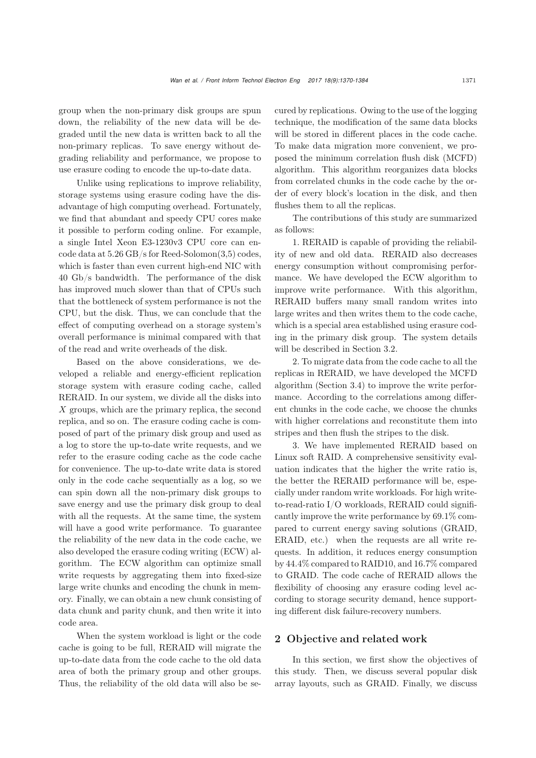group when the non-primary disk groups are spun down, the reliability of the new data will be degraded until the new data is written back to all the non-primary replicas. To save energy without degrading reliability and performance, we propose to use erasure coding to encode the up-to-date data.

Unlike using replications to improve reliability, storage systems using erasure coding have the disadvantage of high computing overhead. Fortunately, we find that abundant and speedy CPU cores make it possible to perform coding online. For example, a single Intel Xeon E3-1230v3 CPU core can encode data at 5.26 GB/s for Reed-Solomon(3,5) codes, which is faster than even current high-end NIC with 40 Gb/s bandwidth. The performance of the disk has improved much slower than that of CPUs such that the bottleneck of system performance is not the CPU, but the disk. Thus, we can conclude that the effect of computing overhead on a storage system's overall performance is minimal compared with that of the read and write overheads of the disk.

Based on the above considerations, we developed a reliable and energy-efficient replication storage system with erasure coding cache, called RERAID. In our system, we divide all the disks into X groups, which are the primary replica, the second replica, and so on. The erasure coding cache is composed of part of the primary disk group and used as a log to store the up-to-date write requests, and we refer to the erasure coding cache as the code cache for convenience. The up-to-date write data is stored only in the code cache sequentially as a log, so we can spin down all the non-primary disk groups to save energy and use the primary disk group to deal with all the requests. At the same time, the system will have a good write performance. To guarantee the reliability of the new data in the code cache, we also developed the erasure coding writing (ECW) algorithm. The ECW algorithm can optimize small write requests by aggregating them into fixed-size large write chunks and encoding the chunk in memory. Finally, we can obtain a new chunk consisting of data chunk and parity chunk, and then write it into code area.

When the system workload is light or the code cache is going to be full, RERAID will migrate the up-to-date data from the code cache to the old data area of both the primary group and other groups. Thus, the reliability of the old data will also be secured by replications. Owing to the use of the logging technique, the modification of the same data blocks will be stored in different places in the code cache. To make data migration more convenient, we proposed the minimum correlation flush disk (MCFD) algorithm. This algorithm reorganizes data blocks from correlated chunks in the code cache by the order of every block's location in the disk, and then flushes them to all the replicas.

The contributions of this study are summarized as follows:

1. RERAID is capable of providing the reliability of new and old data. RERAID also decreases energy consumption without compromising performance. We have developed the ECW algorithm to improve write performance. With this algorithm, RERAID buffers many small random writes into large writes and then writes them to the code cache, which is a special area established using erasure coding in the primary disk group. The system details will be described in Section 3.2.

2. To migrate data from the code cache to all the replicas in RERAID, we have developed the MCFD algorithm (Section 3.4) to improve the write performance. According to the correlations among different chunks in the code cache, we choose the chunks with higher correlations and reconstitute them into stripes and then flush the stripes to the disk.

3. We have implemented RERAID based on Linux soft RAID. A comprehensive sensitivity evaluation indicates that the higher the write ratio is, the better the RERAID performance will be, especially under random write workloads. For high writeto-read-ratio I/O workloads, RERAID could significantly improve the write performance by 69.1% compared to current energy saving solutions (GRAID, ERAID, etc.) when the requests are all write requests. In addition, it reduces energy consumption by 44.4% compared to RAID10, and 16.7% compared to GRAID. The code cache of RERAID allows the flexibility of choosing any erasure coding level according to storage security demand, hence supporting different disk failure-recovery numbers.

# 2 Objective and related work

In this section, we first show the objectives of this study. Then, we discuss several popular disk array layouts, such as GRAID. Finally, we discuss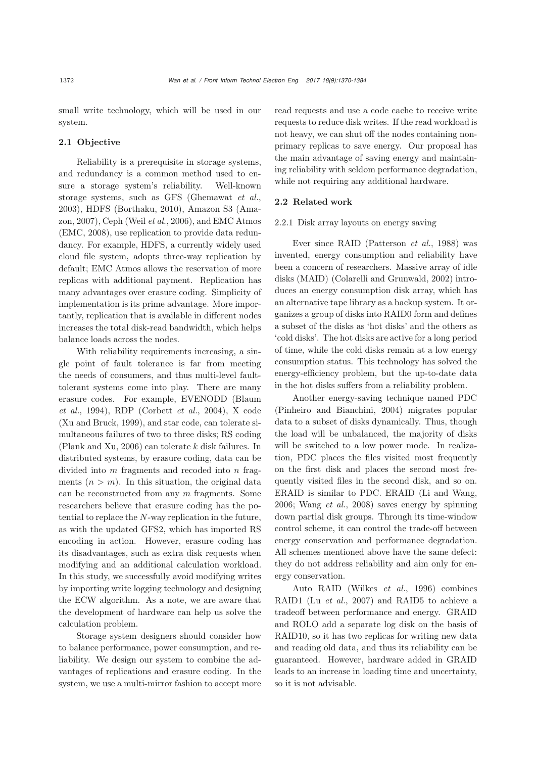small write technology, which will be used in our system.

# 2.1 Objective

Reliability is a prerequisite in storage systems, and redundancy is a common method used to ensure a storage system's reliability. Well-known storage systems, such as GFS [\(Ghemawat](#page-13-5) *et al.*, [2003](#page-13-5)[\),](#page-13-7) [HDFS](#page-13-7) [\(Borthaku](#page-13-6)[,](#page-13-7) [2010](#page-13-6)[\),](#page-13-7) [Amazon](#page-13-7) [S3](#page-13-7) [\(](#page-13-7)Amazon, [2007](#page-13-7)), Ceph (Weil *[et al.](#page-14-4)*, [2006\)](#page-14-4), and EMC Atmos [\(EMC](#page-13-8), [2008\)](#page-13-8), use replication to provide data redundancy. For example, HDFS, a currently widely used cloud file system, adopts three-way replication by default; EMC Atmos allows the reservation of more replicas with additional payment. Replication has many advantages over erasure coding. Simplicity of implementation is its prime advantage. More importantly, replication that is available in different nodes increases the total disk-read bandwidth, which helps balance loads across the nodes.

With reliability requirements increasing, a single point of fault tolerance is far from meeting the needs of consumers, and thus multi-level faulttolerant systems come into play. There are many eras[ure](#page-13-9) [codes.](#page-13-9) [For](#page-13-9) [example,](#page-13-9) [EVENODD](#page-13-9) [\(](#page-13-9)Blaum *et al.*, [1994\)](#page-13-9), RDP [\(Corbett](#page-13-10) *et al.*, [2004\)](#page-13-10), X code [\(Xu and Bruck](#page-14-5), [1999\)](#page-14-5), and star code, can tolerate simultaneous failures of two to three disks; RS coding [\(Plank and Xu, 2006\)](#page-13-11) can tolerate k disk failures. In distributed systems, by erasure coding, data can be divided into  $m$  fragments and recoded into  $n$  fragments  $(n>m)$ . In this situation, the original data can be reconstructed from any  $m$  fragments. Some researchers believe that erasure coding has the potential to replace the N-way replication in the future, as with the updated GFS2, which has imported RS encoding in action. However, erasure coding has its disadvantages, such as extra disk requests when modifying and an additional calculation workload. In this study, we successfully avoid modifying writes by importing write logging technology and designing the ECW algorithm. As a note, we are aware that the development of hardware can help us solve the calculation problem.

Storage system designers should consider how to balance performance, power consumption, and reliability. We design our system to combine the advantages of replications and erasure coding. In the system, we use a multi-mirror fashion to accept more read requests and use a code cache to receive write requests to reduce disk writes. If the read workload is not heavy, we can shut off the nodes containing nonprimary replicas to save energy. Our proposal has the main advantage of saving energy and maintaining reliability with seldom performance degradation, while not requiring any additional hardware.

# 2.2 Related work

# 2.2.1 Disk array layouts on energy saving

Ever since RAID [\(Patterson](#page-13-12) *et al.*, [1988](#page-13-12)) was invented, energy consumption and reliability have been a concern of researchers. Massive array of idle disks (MAID) [\(Colarelli and Grunwald, 2002](#page-13-13)) introduces an energy consumption disk array, which has an alternative tape library as a backup system. It organizes a group of disks into RAID0 form and defines a subset of the disks as 'hot disks' and the others as 'cold disks'. The hot disks are active for a long period of time, while the cold disks remain at a low energy consumption status. This technology has solved the energy-efficiency problem, but the up-to-date data in the hot disks suffers from a reliability problem.

Another energy-saving technique named PDC [\(Pinheiro and Bianchini, 2004\)](#page-13-14) migrates popular data to a subset of disks dynamically. Thus, though the load will be unbalanced, the majority of disks will be switched to a low power mode. In realization, PDC places the files visited most frequently on the first disk and places the second most frequently visited files in the second disk, and so on. ERAID is similar to PDC. ERAID [\(Li and Wang](#page-13-15), [2006](#page-13-15); [Wang](#page-14-6) *et al.*, [2008](#page-14-6)) saves energy by spinning down partial disk groups. Through its time-window control scheme, it can control the trade-off between energy conservation and performance degradation. All schemes mentioned above have the same defect: they do not address reliability and aim only for energy conservation.

Auto RAID [\(Wilkes](#page-14-7) *et al.*, [1996](#page-14-7)) combines RAID1 (Lu *[et al.](#page-13-16)*, [2007](#page-13-16)) and RAID5 to achieve a tradeoff between performance and energy. GRAID and ROLO add a separate log disk on the basis of RAID10, so it has two replicas for writing new data and reading old data, and thus its reliability can be guaranteed. However, hardware added in GRAID leads to an increase in loading time and uncertainty, so it is not advisable.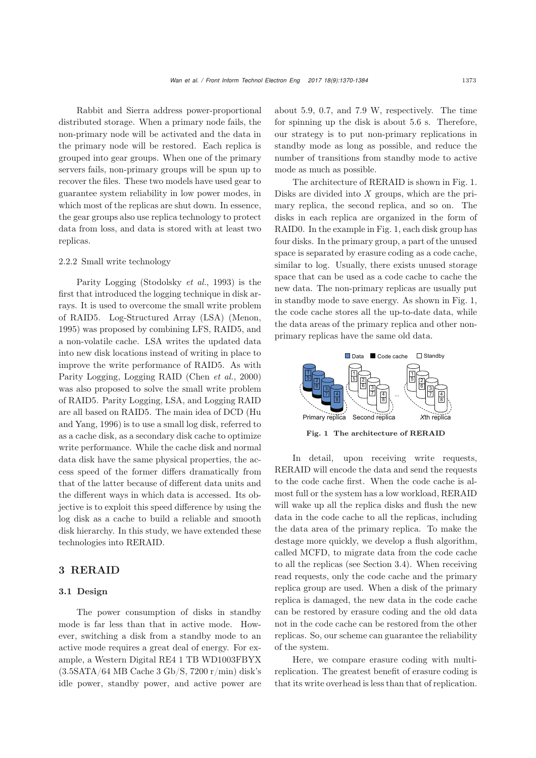Rabbit and Sierra address power-proportional distributed storage. When a primary node fails, the non-primary node will be activated and the data in the primary node will be restored. Each replica is grouped into gear groups. When one of the primary servers fails, non-primary groups will be spun up to recover the files. These two models have used gear to guarantee system reliability in low power modes, in which most of the replicas are shut down. In essence, the gear groups also use replica technology to protect data from loss, and data is stored with at least two replicas.

# 2.2.2 Small write technology

Parity Logging [\(Stodolsky](#page-14-8) *et al.*, [1993\)](#page-14-8) is the first that introduced the logging technique in disk arrays. It is used to overcome the small write problem of RAID5. Log-Structured Array (LSA) [\(Menon](#page-13-17), [1995](#page-13-17)) was proposed by combining LFS, RAID5, and a non-volatile cache. LSA writes the updated data into new disk locations instead of writing in place to improve the write performance of RAID5. As with Parity Logging, Logging RAID [\(Chen](#page-13-18) *et al.*, [2000\)](#page-13-18) was also proposed to solve the small write problem of RAID5. Parity Logging, LSA, and Logging RAID are all ba[sed](#page-13-19) [on](#page-13-19) [RAID5.](#page-13-19) [The](#page-13-19) [main](#page-13-19) [idea](#page-13-19) [of](#page-13-19) [DCD](#page-13-19) [\(](#page-13-19)Hu and Yang, [1996](#page-13-19)) is to use a small log disk, referred to as a cache disk, as a secondary disk cache to optimize write performance. While the cache disk and normal data disk have the same physical properties, the access speed of the former differs dramatically from that of the latter because of different data units and the different ways in which data is accessed. Its objective is to exploit this speed difference by using the log disk as a cache to build a reliable and smooth disk hierarchy. In this study, we have extended these technologies into RERAID.

# 3 RERAID

## 3.1 Design

The power consumption of disks in standby mode is far less than that in active mode. However, switching a disk from a standby mode to an active mode requires a great deal of energy. For example, a Western Digital RE4 1 TB WD1003FBYX (3.5SATA/64 MB Cache 3 Gb/S, 7200 r/min) disk's idle power, standby power, and active power are about 5.9, 0.7, and 7.9 W, respectively. The time for spinning up the disk is about 5.6 s. Therefore, our strategy is to put non-primary replications in standby mode as long as possible, and reduce the number of transitions from standby mode to active mode as much as possible.

The architecture of RERAID is shown in Fig. [1.](#page-3-0) Disks are divided into  $X$  groups, which are the primary replica, the second replica, and so on. The disks in each replica are organized in the form of RAID0. In the example in Fig. [1,](#page-3-0) each disk group has four disks. In the primary group, a part of the unused space is separated by erasure coding as a code cache, similar to log. Usually, there exists unused storage space that can be used as a code cache to cache the new data. The non-primary replicas are usually put in standby mode to save energy. As shown in Fig. [1,](#page-3-0) the code cache stores all the up-to-date data, while the data areas of the primary replica and other nonprimary replicas have the same old data.



<span id="page-3-0"></span>Fig. 1 The architecture of RERAID

In detail, upon receiving write requests, RERAID will encode the data and send the requests to the code cache first. When the code cache is almost full or the system has a low workload, RERAID will wake up all the replica disks and flush the new data in the code cache to all the replicas, including the data area of the primary replica. To make the destage more quickly, we develop a flush algorithm, called MCFD, to migrate data from the code cache to all the replicas (see Section 3.4). When receiving read requests, only the code cache and the primary replica group are used. When a disk of the primary replica is damaged, the new data in the code cache can be restored by erasure coding and the old data not in the code cache can be restored from the other replicas. So, our scheme can guarantee the reliability of the system.

Here, we compare erasure coding with multireplication. The greatest benefit of erasure coding is that its write overhead is less than that of replication.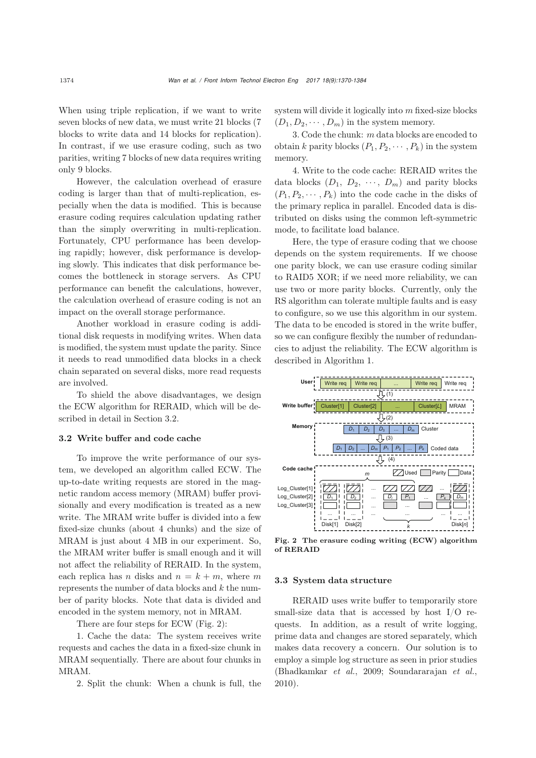When using triple replication, if we want to write seven blocks of new data, we must write 21 blocks (7 blocks to write data and 14 blocks for replication). In contrast, if we use erasure coding, such as two parities, writing 7 blocks of new data requires writing only 9 blocks.

However, the calculation overhead of erasure coding is larger than that of multi-replication, especially when the data is modified. This is because erasure coding requires calculation updating rather than the simply overwriting in multi-replication. Fortunately, CPU performance has been developing rapidly; however, disk performance is developing slowly. This indicates that disk performance becomes the bottleneck in storage servers. As CPU performance can benefit the calculations, however, the calculation overhead of erasure coding is not an impact on the overall storage performance.

Another workload in erasure coding is additional disk requests in modifying writes. When data is modified, the system must update the parity. Since it needs to read unmodified data blocks in a check chain separated on several disks, more read requests are involved.

To shield the above disadvantages, we design the ECW algorithm for RERAID, which will be described in detail in Section 3.2.

## 3.2 Write buffer and code cache

To improve the write performance of our system, we developed an algorithm called ECW. The up-to-date writing requests are stored in the magnetic random access memory (MRAM) buffer provisionally and every modification is treated as a new write. The MRAM write buffer is divided into a few fixed-size chunks (about 4 chunks) and the size of MRAM is just about 4 MB in our experiment. So, the MRAM writer buffer is small enough and it will not affect the reliability of RERAID. In the system, each replica has n disks and  $n = k + m$ , where m represents the number of data blocks and  $k$  the number of parity blocks. Note that data is divided and encoded in the system memory, not in MRAM.

There are four steps for ECW (Fig. [2\)](#page-4-0):

1. Cache the data: The system receives write requests and caches the data in a fixed-size chunk in MRAM sequentially. There are about four chunks in MRAM.

2. Split the chunk: When a chunk is full, the

system will divide it logically into m fixed-size blocks  $(D_1, D_2, \cdots, D_m)$  in the system memory.

3. Code the chunk: m data blocks are encoded to obtain k parity blocks  $(P_1, P_2, \dots, P_k)$  in the system memory.

4. Write to the code cache: RERAID writes the data blocks  $(D_1, D_2, \cdots, D_m)$  and parity blocks  $(P_1, P_2, \cdots, P_k)$  into the code cache in the disks of the primary replica in parallel. Encoded data is distributed on disks using the common left-symmetric mode, to facilitate load balance.

Here, the type of erasure coding that we choose depends on the system requirements. If we choose one parity block, we can use erasure coding similar to RAID5 XOR; if we need more reliability, we can use two or more parity blocks. Currently, only the RS algorithm can tolerate multiple faults and is easy to configure, so we use this algorithm in our system. The data to be encoded is stored in the write buffer, so we can configure flexibly the number of redundancies to adjust the reliability. The ECW algorithm is described in Algorithm [1.](#page-5-0)



<span id="page-4-0"></span>Fig. 2 The erasure coding writing (ECW) algorithm of RERAID

## 3.3 System data structure

RERAID uses write buffer to temporarily store small-size data that is accessed by host I/O requests. In addition, as a result of write logging, prime data and changes are stored separately, which makes data recovery a concern. Our solution is to employ a simple log structure as seen in prior studies [\(Bhadkamkar](#page-13-20) *et al.*, [2009;](#page-13-20) [Soundararajan](#page-13-21) *et al.*, [2010](#page-13-21)).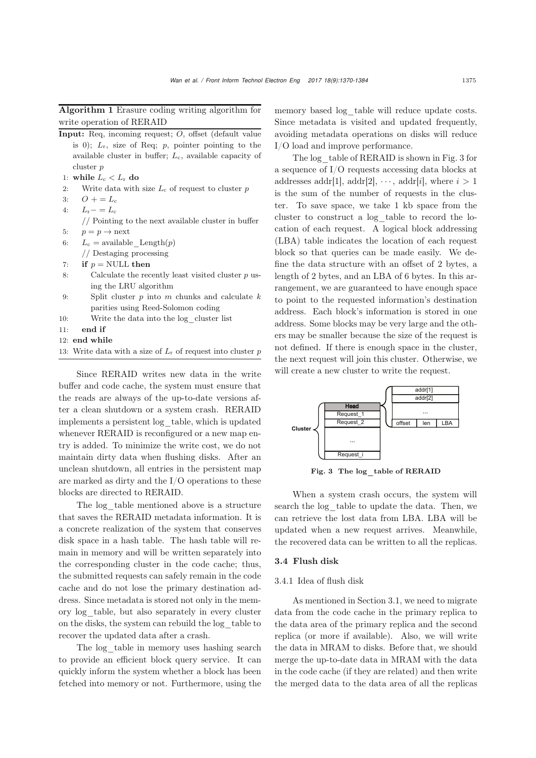Algorithm 1 Erasure coding writing algorithm for write operation of RERAID

- Input: Req, incoming request; *O*, offset (default value is 0);  $L_r$ , size of Req;  $p$ , pointer pointing to the available cluster in buffer; *L*c, available capacity of cluster *p*
- 1: while  $L_c < L_r$  do
- 2: Write data with size  $L_c$  of request to cluster  $p$
- 
- 3:  $O + = L_c$ <br>4:  $L_r = L_c$  $L_r - = L_c$

*//* Pointing to the next available cluster in buffer 5:  $p = p \rightarrow \text{next}$ <br>6:  $L_c = \text{available}$ 

- $L_c =$ available Length $(p)$ 
	- *//* Destaging processing
- 7: **if**  $p = \text{NULL}$  then<br>8: Calculate the rec
- Calculate the recently least visited cluster  $p$  using the LRU algorithm
- 9: Split cluster *p* into *m* chunks and calculate *k* parities using Reed-Solomon coding
- 10: Write the data into the log\_cluster list
- 11: end if
- <span id="page-5-0"></span>12: end while
- 13: Write data with a size of *L*<sup>r</sup> of request into cluster *p*

Since RERAID writes new data in the write buffer and code cache, the system must ensure that the reads are always of the up-to-date versions after a clean shutdown or a system crash. RERAID implements a persistent log\_table, which is updated whenever RERAID is reconfigured or a new map entry is added. To minimize the write cost, we do not maintain dirty data when flushing disks. After an unclean shutdown, all entries in the persistent map are marked as dirty and the I/O operations to these blocks are directed to RERAID.

The log<sub>table</sub> mentioned above is a structure that saves the RERAID metadata information. It is a concrete realization of the system that conserves disk space in a hash table. The hash table will remain in memory and will be written separately into the corresponding cluster in the code cache; thus, the submitted requests can safely remain in the code cache and do not lose the primary destination address. Since metadata is stored not only in the memory log\_table, but also separately in every cluster on the disks, the system can rebuild the log\_table to recover the updated data after a crash.

The log<sub>table</sub> in memory uses hashing search to provide an efficient block query service. It can quickly inform the system whether a block has been fetched into memory or not. Furthermore, using the memory based log table will reduce update costs. Since metadata is visited and updated frequently, avoiding metadata operations on disks will reduce I/O load and improve performance.

The log<sub>table</sub> of RERAID is shown in Fig. [3](#page-5-1) for a sequence of I/O requests accessing data blocks at addresses addr[1], addr[2],  $\cdots$ , addr[i], where  $i > 1$ is the sum of the number of requests in the cluster. To save space, we take 1 kb space from the cluster to construct a log\_table to record the location of each request. A logical block addressing (LBA) table indicates the location of each request block so that queries can be made easily. We define the data structure with an offset of 2 bytes, a length of 2 bytes, and an LBA of 6 bytes. In this arrangement, we are guaranteed to have enough space to point to the requested information's destination address. Each block's information is stored in one address. Some blocks may be very large and the others may be smaller because the size of the request is not defined. If there is enough space in the cluster, the next request will join this cluster. Otherwise, we will create a new cluster to write the request.



<span id="page-5-1"></span>Fig. 3 The log\_table of RERAID

When a system crash occurs, the system will search the log\_table to update the data. Then, we can retrieve the lost data from LBA. LBA will be updated when a new request arrives. Meanwhile, the recovered data can be written to all the replicas.

# 3.4 Flush disk

#### 3.4.1 Idea of flush disk

As mentioned in Section 3.1, we need to migrate data from the code cache in the primary replica to the data area of the primary replica and the second replica (or more if available). Also, we will write the data in MRAM to disks. Before that, we should merge the up-to-date data in MRAM with the data in the code cache (if they are related) and then write the merged data to the data area of all the replicas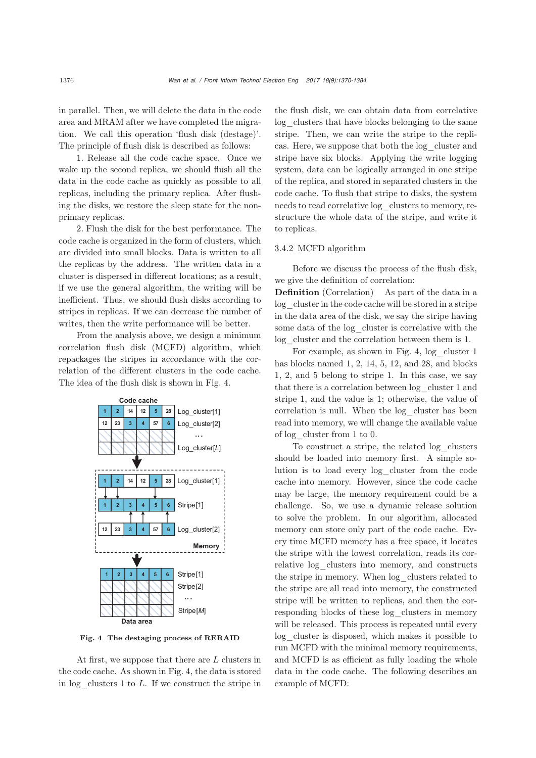in parallel. Then, we will delete the data in the code area and MRAM after we have completed the migration. We call this operation 'flush disk (destage)'. The principle of flush disk is described as follows:

1. Release all the code cache space. Once we wake up the second replica, we should flush all the data in the code cache as quickly as possible to all replicas, including the primary replica. After flushing the disks, we restore the sleep state for the nonprimary replicas.

2. Flush the disk for the best performance. The code cache is organized in the form of clusters, which are divided into small blocks. Data is written to all the replicas by the address. The written data in a cluster is dispersed in different locations; as a result, if we use the general algorithm, the writing will be inefficient. Thus, we should flush disks according to stripes in replicas. If we can decrease the number of writes, then the write performance will be better.

From the analysis above, we design a minimum correlation flush disk (MCFD) algorithm, which repackages the stripes in accordance with the correlation of the different clusters in the code cache. The idea of the flush disk is shown in Fig. [4.](#page-6-0)



<span id="page-6-0"></span>Fig. 4 The destaging process of RERAID

At first, we suppose that there are  $L$  clusters in the code cache. As shown in Fig. [4,](#page-6-0) the data is stored in log clusters 1 to  $L$ . If we construct the stripe in the flush disk, we can obtain data from correlative log clusters that have blocks belonging to the same stripe. Then, we can write the stripe to the replicas. Here, we suppose that both the log\_cluster and stripe have six blocks. Applying the write logging system, data can be logically arranged in one stripe of the replica, and stored in separated clusters in the code cache. To flush that stripe to disks, the system needs to read correlative log\_clusters to memory, restructure the whole data of the stripe, and write it to replicas.

## 3.4.2 MCFD algorithm

Before we discuss the process of the flush disk, we give the definition of correlation: Definition (Correlation) As part of the data in a log\_cluster in the code cache will be stored in a stripe in the data area of the disk, we say the stripe having some data of the log\_cluster is correlative with the log\_cluster and the correlation between them is 1.

For example, as shown in Fig. 4, log\_cluster 1 has blocks named 1, 2, 14, 5, 12, and 28, and blocks 1, 2, and 5 belong to stripe 1. In this case, we say that there is a correlation between log\_cluster 1 and stripe 1, and the value is 1; otherwise, the value of correlation is null. When the log\_cluster has been read into memory, we will change the available value of log\_cluster from 1 to 0.

To construct a stripe, the related log\_clusters should be loaded into memory first. A simple solution is to load every log\_cluster from the code cache into memory. However, since the code cache may be large, the memory requirement could be a challenge. So, we use a dynamic release solution to solve the problem. In our algorithm, allocated memory can store only part of the code cache. Every time MCFD memory has a free space, it locates the stripe with the lowest correlation, reads its correlative log\_clusters into memory, and constructs the stripe in memory. When log\_clusters related to the stripe are all read into memory, the constructed stripe will be written to replicas, and then the corresponding blocks of these log\_clusters in memory will be released. This process is repeated until every log\_cluster is disposed, which makes it possible to run MCFD with the minimal memory requirements, and MCFD is as efficient as fully loading the whole data in the code cache. The following describes an example of MCFD: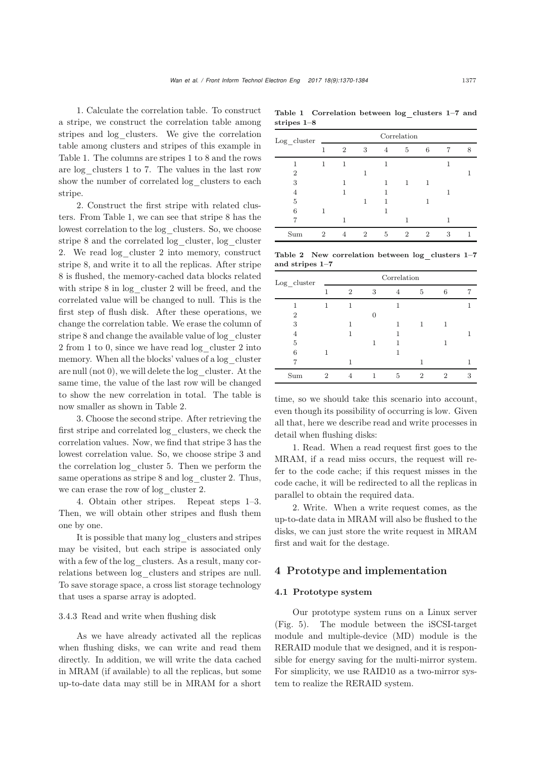1. Calculate the correlation table. To construct a stripe, we construct the correlation table among stripes and log\_clusters. We give the correlation table among clusters and stripes of this example in Table [1.](#page-7-0) The columns are stripes 1 to 8 and the rows are log\_clusters 1 to 7. The values in the last row show the number of correlated log clusters to each stripe.

2. Construct the first stripe with related clusters. From Table 1, we can see that stripe 8 has the lowest correlation to the log clusters. So, we choose stripe 8 and the correlated log\_cluster, log\_cluster 2. We read log\_cluster 2 into memory, construct stripe 8, and write it to all the replicas. After stripe 8 is flushed, the memory-cached data blocks related with stripe 8 in log cluster 2 will be freed, and the correlated value will be changed to null. This is the first step of flush disk. After these operations, we change the correlation table. We erase the column of stripe 8 and change the available value of log\_cluster 2 from 1 to 0, since we have read log\_cluster 2 into memory. When all the blocks' values of a log\_cluster are null (not 0), we will delete the log\_cluster. At the same time, the value of the last row will be changed to show the new correlation in total. The table is now smaller as shown in Table [2.](#page-7-1)

3. Choose the second stripe. After retrieving the first stripe and correlated log\_clusters, we check the correlation values. Now, we find that stripe 3 has the lowest correlation value. So, we choose stripe 3 and the correlation log\_cluster 5. Then we perform the same operations as stripe 8 and log cluster 2. Thus, we can erase the row of log cluster 2.

4. Obtain other stripes. Repeat steps 1–3. Then, we will obtain other stripes and flush them one by one.

It is possible that many log\_clusters and stripes may be visited, but each stripe is associated only with a few of the log clusters. As a result, many correlations between log\_clusters and stripes are null. To save storage space, a cross list storage technology that uses a sparse array is adopted.

# 3.4.3 Read and write when flushing disk

As we have already activated all the replicas when flushing disks, we can write and read them directly. In addition, we will write the data cached in MRAM (if available) to all the replicas, but some up-to-date data may still be in MRAM for a short

<span id="page-7-0"></span>Table 1 Correlation between log\_clusters 1–7 and stripes 1–8

| $Log\_cluster$ | Correlation |                |                |   |                 |                             |   |   |
|----------------|-------------|----------------|----------------|---|-----------------|-----------------------------|---|---|
|                | 1           | 2              | - 3            | 4 | $5\phantom{.0}$ | 6                           |   | 8 |
|                |             |                |                |   |                 |                             |   |   |
| $\overline{2}$ |             |                |                |   |                 |                             |   |   |
| 3              |             |                |                | 1 | 1               | 1                           |   |   |
| 4              |             |                |                |   |                 |                             |   |   |
| 5              |             |                |                |   |                 |                             |   |   |
| 6              |             |                |                |   |                 |                             |   |   |
| 7              |             |                |                |   |                 |                             |   |   |
| Sum            | 2           | $\overline{4}$ | $\overline{2}$ | 5 | $\overline{2}$  | $\mathcal{D}_{\mathcal{L}}$ | 3 |   |

<span id="page-7-1"></span>Table 2 New correlation between log clusters 1–7 and stripes 1–7

| $Log\_cluster$ |   | Correlation    |   |   |   |   |   |  |
|----------------|---|----------------|---|---|---|---|---|--|
|                | 1 | $\overline{2}$ | 3 | 4 | 5 | 6 |   |  |
|                |   |                |   |   |   |   |   |  |
| $\overline{2}$ |   |                | 0 |   |   |   |   |  |
| 3              |   |                |   |   |   |   |   |  |
| $\overline{4}$ |   |                |   |   |   |   |   |  |
| 5              |   |                |   |   |   |   |   |  |
| 6              |   |                |   |   |   |   |   |  |
|                |   |                |   |   |   |   |   |  |
| Sum            | 2 |                |   | 5 | 2 | 2 | 3 |  |

time, so we should take this scenario into account, even though its possibility of occurring is low. Given all that, here we describe read and write processes in detail when flushing disks:

1. Read. When a read request first goes to the MRAM, if a read miss occurs, the request will refer to the code cache; if this request misses in the code cache, it will be redirected to all the replicas in parallel to obtain the required data.

2. Write. When a write request comes, as the up-to-date data in MRAM will also be flushed to the disks, we can just store the write request in MRAM first and wait for the destage.

# 4 Prototype and implementation

# 4.1 Prototype system

Our prototype system runs on a Linux server (Fig. [5\)](#page-8-0). The module between the iSCSI-target module and multiple-device (MD) module is the RERAID module that we designed, and it is responsible for energy saving for the multi-mirror system. For simplicity, we use RAID10 as a two-mirror system to realize the RERAID system.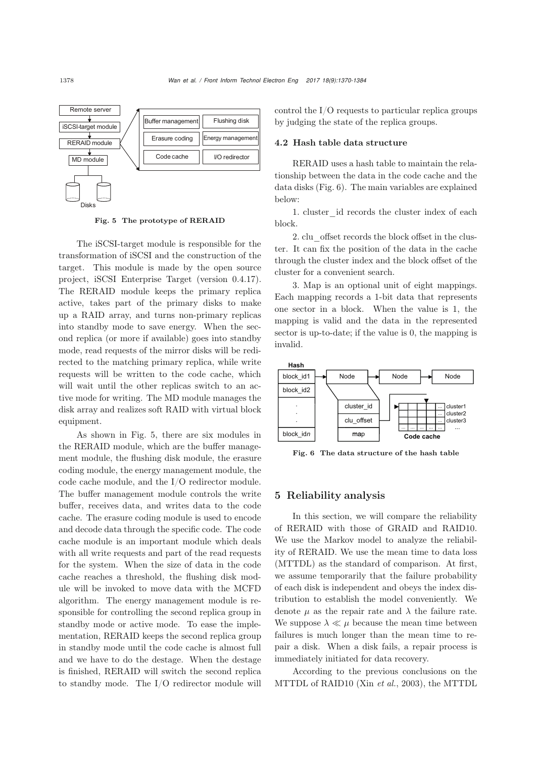

<span id="page-8-0"></span>Fig. 5 The prototype of RERAID

The iSCSI-target module is responsible for the transformation of iSCSI and the construction of the target. This module is made by the open source project, iSCSI Enterprise Target (version 0.4.17). The RERAID module keeps the primary replica active, takes part of the primary disks to make up a RAID array, and turns non-primary replicas into standby mode to save energy. When the second replica (or more if available) goes into standby mode, read requests of the mirror disks will be redirected to the matching primary replica, while write requests will be written to the code cache, which will wait until the other replicas switch to an active mode for writing. The MD module manages the disk array and realizes soft RAID with virtual block equipment.

As shown in Fig. [5,](#page-8-0) there are six modules in the RERAID module, which are the buffer management module, the flushing disk module, the erasure coding module, the energy management module, the code cache module, and the I/O redirector module. The buffer management module controls the write buffer, receives data, and writes data to the code cache. The erasure coding module is used to encode and decode data through the specific code. The code cache module is an important module which deals with all write requests and part of the read requests for the system. When the size of data in the code cache reaches a threshold, the flushing disk module will be invoked to move data with the MCFD algorithm. The energy management module is responsible for controlling the second replica group in standby mode or active mode. To ease the implementation, RERAID keeps the second replica group in standby mode until the code cache is almost full and we have to do the destage. When the destage is finished, RERAID will switch the second replica to standby mode. The I/O redirector module will

control the I/O requests to particular replica groups by judging the state of the replica groups.

#### 4.2 Hash table data structure

RERAID uses a hash table to maintain the relationship between the data in the code cache and the data disks (Fig. [6\)](#page-8-1). The main variables are explained below:

1. cluster id records the cluster index of each block.

2. clu\_offset records the block offset in the cluster. It can fix the position of the data in the cache through the cluster index and the block offset of the cluster for a convenient search.

3. Map is an optional unit of eight mappings. Each mapping records a 1-bit data that represents one sector in a block. When the value is 1, the mapping is valid and the data in the represented sector is up-to-date; if the value is 0, the mapping is invalid.



<span id="page-8-1"></span>Fig. 6 The data structure of the hash table

# 5 Reliability analysis

In this section, we will compare the reliability of RERAID with those of GRAID and RAID10. We use the Markov model to analyze the reliability of RERAID. We use the mean time to data loss (MTTDL) as the standard of comparison. At first, we assume temporarily that the failure probability of each disk is independent and obeys the index distribution to establish the model conveniently. We denote  $\mu$  as the repair rate and  $\lambda$  the failure rate. We suppose  $\lambda \ll \mu$  because the mean time between failures is much longer than the mean time to repair a disk. When a disk fails, a repair process is immediately initiated for data recovery.

According to the previous conclusions on the MTTDL of RAID10 (Xin *[et al.](#page-14-9)*, [2003](#page-14-9)), the MTTDL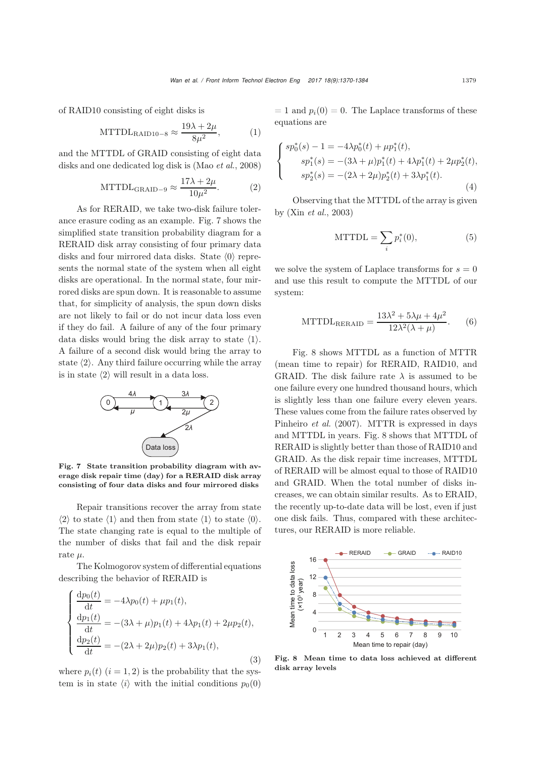of RAID10 consisting of eight disks is

$$
MTTDL_{\text{RAID10-8}} \approx \frac{19\lambda + 2\mu}{8\mu^2}, \tag{1}
$$

and the MTTDL of GRAID consisting of eight data disks and one dedicated log disk is (Mao *[et al.](#page-13-4)*, [2008\)](#page-13-4)

$$
MTTDL_{\text{GRAID-9}} \approx \frac{17\lambda + 2\mu}{10\mu^2}.
$$
 (2)

As for RERAID, we take two-disk failure tolerance erasure coding as an example. Fig. [7](#page-9-0) shows the simplified state transition probability diagram for a RERAID disk array consisting of four primary data disks and four mirrored data disks. State  $\langle 0 \rangle$  represents the normal state of the system when all eight disks are operational. In the normal state, four mirrored disks are spun down. It is reasonable to assume that, for simplicity of analysis, the spun down disks are not likely to fail or do not incur data loss even if they do fail. A failure of any of the four primary data disks would bring the disk array to state  $\langle 1 \rangle$ . A failure of a second disk would bring the array to state  $\langle 2 \rangle$ . Any third failure occurring while the array is in state  $\langle 2 \rangle$  will result in a data loss.



<span id="page-9-0"></span>Fig. 7 State transition probability diagram with average disk repair time (day) for a RERAID disk array consisting of four data disks and four mirrored disks

Repair transitions recover the array from state  $\langle 2 \rangle$  to state  $\langle 1 \rangle$  and then from state  $\langle 1 \rangle$  to state  $\langle 0 \rangle$ . The state changing rate is equal to the multiple of the number of disks that fail and the disk repair rate  $\mu$ .

The Kolmogorov system of differential equations describing the behavior of RERAID is

$$
\begin{cases}\n\frac{dp_0(t)}{dt} = -4\lambda p_0(t) + \mu p_1(t), \n\frac{dp_1(t)}{dt} = -(3\lambda + \mu)p_1(t) + 4\lambda p_1(t) + 2\mu p_2(t), \n\frac{dp_2(t)}{dt} = -(2\lambda + 2\mu)p_2(t) + 3\lambda p_1(t), \n\end{cases}
$$
\n(3)

where  $p_i(t)$   $(i = 1, 2)$  is the probability that the system is in state  $\langle i \rangle$  with the initial conditions  $p_0(0)$   $= 1$  and  $p_i(0) = 0$ . The Laplace transforms of these equations are

$$
\begin{cases}\nsp_0^*(s) - 1 = -4\lambda p_0^*(t) + \mu p_1^*(t), \\
sp_1^*(s) = -(3\lambda + \mu)p_1^*(t) + 4\lambda p_1^*(t) + 2\mu p_2^*(t), \\
sp_2^*(s) = -(2\lambda + 2\mu)p_2^*(t) + 3\lambda p_1^*(t).\n\end{cases} (4)
$$

Observing that the MTTDL of the array is given by (Xin *[et al.](#page-14-9)*, [2003\)](#page-14-9)

$$
MTTDL = \sum_{i} p_i^*(0),\tag{5}
$$

we solve the system of Laplace transforms for  $s = 0$ and use this result to compute the MTTDL of our system:

$$
MTTDLRERAID = \frac{13\lambda^2 + 5\lambda\mu + 4\mu^2}{12\lambda^2(\lambda + \mu)}.
$$
 (6)

Fig. [8](#page-9-1) shows MTTDL as a function of MTTR (mean time to repair) for RERAID, RAID10, and GRAID. The disk failure rate  $\lambda$  is assumed to be one failure every one hundred thousand hours, which is slightly less than one failure every eleven years. These values come from the failure rates observed by [Pinheiro](#page-13-22) *et al.* [\(2007\)](#page-13-22). MTTR is expressed in days and MTTDL in years. Fig. [8](#page-9-1) shows that MTTDL of RERAID is slightly better than those of RAID10 and GRAID. As the disk repair time increases, MTTDL of RERAID will be almost equal to those of RAID10 and GRAID. When the total number of disks increases, we can obtain similar results. As to ERAID, the recently up-to-date data will be lost, even if just one disk fails. Thus, compared with these architectures, our RERAID is more reliable.



<span id="page-9-1"></span>Fig. 8 Mean time to data loss achieved at different disk array levels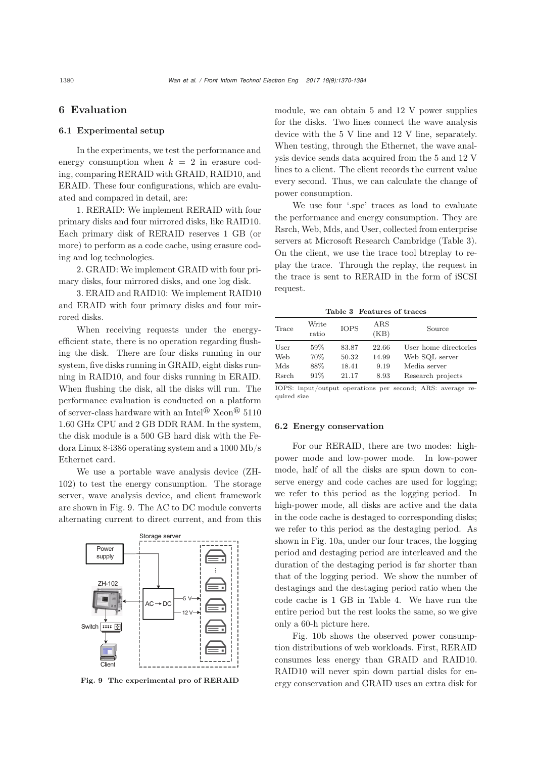# 6 Evaluation

#### 6.1 Experimental setup

In the experiments, we test the performance and energy consumption when  $k = 2$  in erasure coding, comparing RERAID with GRAID, RAID10, and ERAID. These four configurations, which are evaluated and compared in detail, are:

1. RERAID: We implement RERAID with four primary disks and four mirrored disks, like RAID10. Each primary disk of RERAID reserves 1 GB (or more) to perform as a code cache, using erasure coding and log technologies.

2. GRAID: We implement GRAID with four primary disks, four mirrored disks, and one log disk.

3. ERAID and RAID10: We implement RAID10 and ERAID with four primary disks and four mirrored disks.

When receiving requests under the energyefficient state, there is no operation regarding flushing the disk. There are four disks running in our system, five disks running in GRAID, eight disks running in RAID10, and four disks running in ERAID. When flushing the disk, all the disks will run. The performance evaluation is conducted on a platform of server-class hardware with an Intel<sup>®</sup> Xeon<sup>®</sup> 5110 1.60 GHz CPU and 2 GB DDR RAM. In the system, the disk module is a 500 GB hard disk with the Fedora Linux 8-i386 operating system and a 1000 Mb/s Ethernet card.

We use a portable wave analysis device (ZH-102) to test the energy consumption. The storage server, wave analysis device, and client framework are shown in Fig. [9.](#page-10-0) The AC to DC module converts alternating current to direct current, and from this



<span id="page-10-0"></span>Fig. 9 The experimental pro of RERAID

module, we can obtain 5 and 12 V power supplies for the disks. Two lines connect the wave analysis device with the 5 V line and 12 V line, separately. When testing, through the Ethernet, the wave analysis device sends data acquired from the 5 and 12 V lines to a client. The client records the current value every second. Thus, we can calculate the change of power consumption.

We use four '.spc' traces as load to evaluate the performance and energy consumption. They are Rsrch, Web, Mds, and User, collected from enterprise servers at Microsoft Research Cambridge (Table [3\)](#page-10-1). On the client, we use the trace tool btreplay to replay the trace. Through the replay, the request in the trace is sent to RERAID in the form of iSCSI request.

<span id="page-10-1"></span>Table 3 Features of traces

| Trace         | Write<br>ratio | <b>IOPS</b> | ARS<br>(KB) | Source                |
|---------------|----------------|-------------|-------------|-----------------------|
| User          | 59%            | 83.87       | 22.66       | User home directories |
| Web           | 70\%           | 50.32       | 14.99       | Web SQL server        |
| Mds           | 88%            | 18.41       | 9.19        | Media server          |
| <b>R</b> srch | 91%            | 21.17       | 8.93        | Research projects     |

IOPS: input/output operations per second; ARS: average required size

#### 6.2 Energy conservation

For our RERAID, there are two modes: highpower mode and low-power mode. In low-power mode, half of all the disks are spun down to conserve energy and code caches are used for logging; we refer to this period as the logging period. In high-power mode, all disks are active and the data in the code cache is destaged to corresponding disks; we refer to this period as the destaging period. As shown in Fig. [10a](#page-11-0), under our four traces, the logging period and destaging period are interleaved and the duration of the destaging period is far shorter than that of the logging period. We show the number of destagings and the destaging period ratio when the code cache is 1 GB in Table [4.](#page-11-1) We have run the entire period but the rest looks the same, so we give only a 60-h picture here.

Fig. [10b](#page-11-0) shows the observed power consumption distributions of web workloads. First, RERAID consumes less energy than GRAID and RAID10. RAID10 will never spin down partial disks for energy conservation and GRAID uses an extra disk for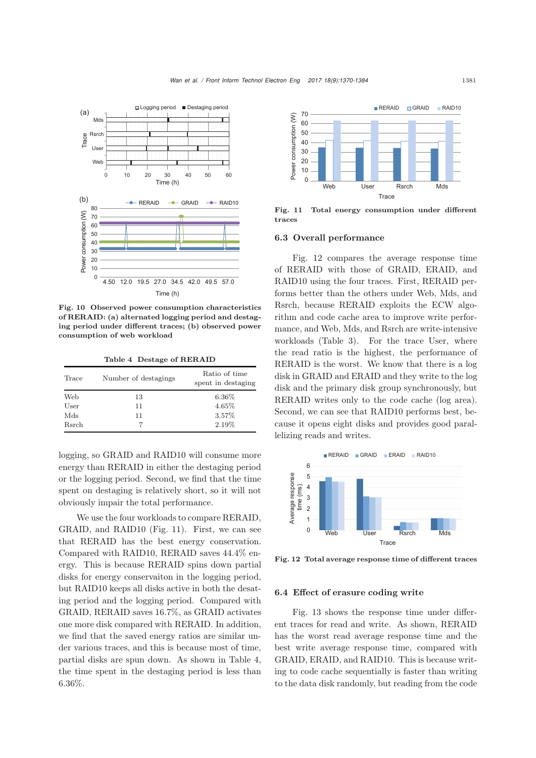

<span id="page-11-0"></span>Fig. 10 Observed power consumption characteristics of RERAID: (a) alternated logging period and destaging period under different traces; (b) observed power consumption of web workload

<span id="page-11-1"></span>Table 4 Destage of RERAID

| Trace | Number of destagings | Ratio of time<br>spent in destaging |
|-------|----------------------|-------------------------------------|
| Web   | 13                   | $6.36\%$                            |
| User  | 11                   | 4.65%                               |
| Mds   | 11                   | 3.57%                               |
| Rsrch |                      | 2.19%                               |

logging, so GRAID and RAID10 will consume more energy than RERAID in either the destaging period or the logging period. Second, we find that the time spent on destaging is relatively short, so it will not obviously impair the total performance.

We use the four workloads to compare RERAID, GRAID, and RAID10 (Fig. [11\)](#page-11-2). First, we can see that RERAID has the best energy conservation. Compared with RAID10, RERAID saves 44.4% energy. This is because RERAID spins down partial disks for energy conservaiton in the logging period, but RAID10 keeps all disks active in both the desating period and the logging period. Compared with GRAID, RERAID saves 16.7%, as GRAID activates one more disk compared with RERAID. In addition, we find that the saved energy ratios are similar under various traces, and this is because most of time, partial disks are spun down. As shown in Table [4,](#page-11-1) the time spent in the destaging period is less than 6.36%.



<span id="page-11-2"></span>Fig. 11 Total energy consumption under different traces

#### 6.3 Overall performance

Fig. [12](#page-11-3) compares the average response time of RERAID with those of GRAID, ERAID, and RAID10 using the four traces. First, RERAID performs better than the others under Web, Mds, and Rsrch, because RERAID exploits the ECW algorithm and code cache area to improve write performance, and Web, Mds, and Rsrch are write-intensive workloads (Table [3\)](#page-10-1). For the trace User, where the read ratio is the highest, the performance of RERAID is the worst. We know that there is a log disk in GRAID and ERAID and they write to the log disk and the primary disk group synchronously, but RERAID writes only to the code cache (log area). Second, we can see that RAID10 performs best, because it opens eight disks and provides good parallelizing reads and writes.



<span id="page-11-3"></span>Fig. 12 Total average response time of different traces

#### 6.4 Effect of erasure coding write

Fig. [13](#page-12-0) shows the response time under different traces for read and write. As shown, RERAID has the worst read average response time and the best write average response time, compared with GRAID, ERAID, and RAID10. This is because writing to code cache sequentially is faster than writing to the data disk randomly, but reading from the code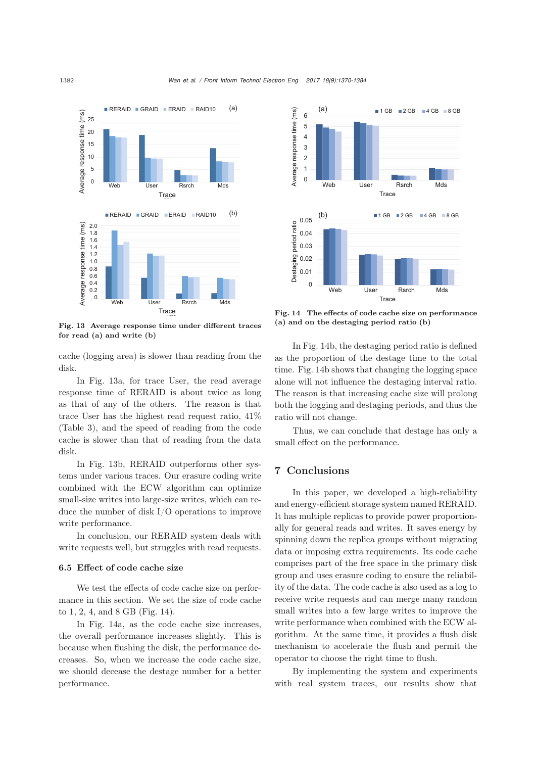

<span id="page-12-0"></span>Fig. 13 Average response time under different traces for read (a) and write (b)

cache (logging area) is slower than reading from the disk.

In Fig. [13a](#page-12-0), for trace User, the read average response time of RERAID is about twice as long as that of any of the others. The reason is that trace User has the highest read request ratio, 41% (Table [3\)](#page-10-1), and the speed of reading from the code cache is slower than that of reading from the data disk.

In Fig. [13b](#page-12-0), RERAID outperforms other systems under various traces. Our erasure coding write combined with the ECW algorithm can optimize small-size writes into large-size writes, which can reduce the number of disk I/O operations to improve write performance.

In conclusion, our RERAID system deals with write requests well, but struggles with read requests.

### 6.5 Effect of code cache size

We test the effects of code cache size on performance in this section. We set the size of code cache to 1, 2, 4, and 8 GB (Fig. [14\)](#page-12-1).

In Fig. [14a](#page-12-1), as the code cache size increases, the overall performance increases slightly. This is because when flushing the disk, the performance decreases. So, when we increase the code cache size, we should decease the destage number for a better performance.



<span id="page-12-1"></span>Fig. 14 The effects of code cache size on performance (a) and on the destaging period ratio (b)

In Fig. [14b](#page-12-1), the destaging period ratio is defined as the proportion of the destage time to the total time. Fig. [14b](#page-12-1) shows that changing the logging space alone will not influence the destaging interval ratio. The reason is that increasing cache size will prolong both the logging and destaging periods, and thus the ratio will not change.

Thus, we can conclude that destage has only a small effect on the performance.

# 7 Conclusions

In this paper, we developed a high-reliability and energy-efficient storage system named RERAID. It has multiple replicas to provide power proportionally for general reads and writes. It saves energy by spinning down the replica groups without migrating data or imposing extra requirements. Its code cache comprises part of the free space in the primary disk group and uses erasure coding to ensure the reliability of the data. The code cache is also used as a log to receive write requests and can merge many random small writes into a few large writes to improve the write performance when combined with the ECW algorithm. At the same time, it provides a flush disk mechanism to accelerate the flush and permit the operator to choose the right time to flush.

By implementing the system and experiments with real system traces, our results show that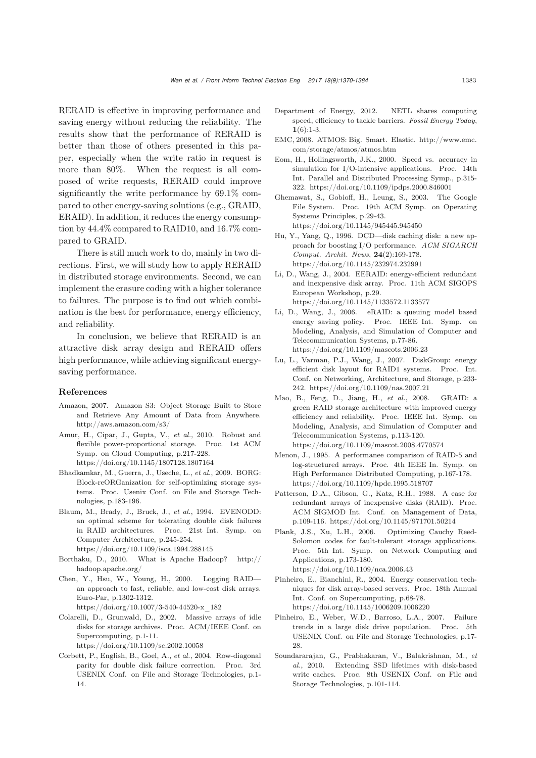RERAID is effective in improving performance and saving energy without reducing the reliability. The results show that the performance of RERAID is better than those of others presented in this paper, especially when the write ratio in request is more than 80%. When the request is all composed of write requests, RERAID could improve significantly the write performance by 69.1% compared to other energy-saving solutions (e.g., GRAID, ERAID). In addition, it reduces the energy consumption by 44.4% compared to RAID10, and 16.7% compared to GRAID.

There is still much work to do, mainly in two directions. First, we will study how to apply RERAID in distributed storage environments. Second, we can implement the erasure coding with a higher tolerance to failures. The purpose is to find out which combination is the best for performance, energy efficiency, and reliability.

In conclusion, we believe that RERAID is an attractive disk array design and RERAID offers high performance, while achieving significant energysaving performance.

### References

- <span id="page-13-7"></span>Amazon, 2007. Amazon S3: Object Storage Built to Store and Retrieve Any Amount of Data from Anywhere. http://aws.amazon.com/s3/
- <span id="page-13-2"></span>Amur, H., Cipar, J., Gupta, V., *et al.*, 2010. Robust and flexible power-proportional storage. Proc. 1st ACM Symp. on Cloud Computing, p.217-228. https://doi.org/10.1145/1807128.1807164
- <span id="page-13-20"></span>Bhadkamkar, M., Guerra, J., Useche, L., *et al.*, 2009. BORG: Block-reORGanization for self-optimizing storage systems. Proc. Usenix Conf. on File and Storage Technologies, p.183-196.
- <span id="page-13-9"></span>Blaum, M., Brady, J., Bruck, J., *et al.*, 1994. EVENODD: an optimal scheme for tolerating double disk failures in RAID architectures. Proc. 21st Int. Symp. on Computer Architecture, p.245-254. https://doi.org/10.1109/isca.1994.288145
- <span id="page-13-6"></span>Borthaku, D., 2010. What is Apache Hadoop? [http://](http://hadoop.apache.org/) [hadoop.apache.org/](http://hadoop.apache.org/)
- <span id="page-13-18"></span>Chen, Y., Hsu, W., Young, H., 2000. Logging RAID an approach to fast, reliable, and low-cost disk arrays. Euro-Par, p.1302-1312. https://doi.org/10.1007/3-540-44520-x\_182
- <span id="page-13-13"></span>Colarelli, D., Grunwald, D., 2002. Massive arrays of idle disks for storage archives. Proc. ACM/IEEE Conf. on Supercomputing, p.1-11.

https://doi.org/10.1109/sc.2002.10058

<span id="page-13-10"></span>Corbett, P., English, B., Goel, A., *et al.*, 2004. Row-diagonal parity for double disk failure correction. Proc. 3rd USENIX Conf. on File and Storage Technologies, p.1- 14.

- <span id="page-13-0"></span>Department of Energy, 2012. NETL shares computing speed, efficiency to tackle barriers. *Fossil Energy Today*,  $1(6):1-3.$
- <span id="page-13-8"></span>EMC, 2008. ATMOS: Big. Smart. Elastic. [http://www.emc.](http://www.emc.com/storage/atmos/atmos.htm) [com/storage/atmos/atmos.htm](http://www.emc.com/storage/atmos/atmos.htm)
- <span id="page-13-1"></span>Eom, H., Hollingsworth, J.K., 2000. Speed vs. accuracy in simulation for I/O-intensive applications. Proc. 14th Int. Parallel and Distributed Processing Symp., p.315- 322. https://doi.org/10.1109/ipdps.2000.846001
- <span id="page-13-5"></span>Ghemawat, S., Gobioff, H., Leung, S., 2003. The Google File System. Proc. 19th ACM Symp. on Operating Systems Principles, p.29-43. https://doi.org/10.1145/945445.945450
- <span id="page-13-19"></span>Hu, Y., Yang, Q., 1996. DCD—disk caching disk: a new approach for boosting I/O performance. *ACM SIGARCH Comput. Archit. News*, 24(2):169-178. https://doi.org/10.1145/232974.232991
- <span id="page-13-3"></span>Li, D., Wang, J., 2004. EERAID: energy-efficient redundant and inexpensive disk array. Proc. 11th ACM SIGOPS European Workshop, p.29. https://doi.org/10.1145/1133572.1133577
- <span id="page-13-15"></span>Li, D., Wang, J., 2006. eRAID: a queuing model based energy saving policy. Proc. IEEE Int. Symp. on Modeling, Analysis, and Simulation of Computer and Telecommunication Systems, p.77-86. https://doi.org/10.1109/mascots.2006.23
- <span id="page-13-16"></span>Lu, L., Varman, P.J., Wang, J., 2007. DiskGroup: energy efficient disk layout for RAID1 systems. Proc. Int. Conf. on Networking, Architecture, and Storage, p.233- 242. https://doi.org/10.1109/nas.2007.21
- <span id="page-13-4"></span>Mao, B., Feng, D., Jiang, H., *et al.*, 2008. GRAID: a green RAID storage architecture with improved energy efficiency and reliability. Proc. IEEE Int. Symp. on Modeling, Analysis, and Simulation of Computer and Telecommunication Systems, p.113-120. https://doi.org/10.1109/mascot.2008.4770574
- <span id="page-13-17"></span>Menon, J., 1995. A performanee comparison of RAID-5 and log-struetured arrays. Proc. 4th IEEE In. Symp. on High Performance Distributed Computing, p.167-178. https://doi.org/10.1109/hpdc.1995.518707
- <span id="page-13-12"></span>Patterson, D.A., Gibson, G., Katz, R.H., 1988. A case for redundant arrays of inexpensive disks (RAID). Proc. ACM SIGMOD Int. Conf. on Management of Data, p.109-116. https://doi.org/10.1145/971701.50214
- <span id="page-13-11"></span>Plank, J.S., Xu, L.H., 2006. Optimizing Cauchy Reed-Solomon codes for fault-tolerant storage applications. Proc. 5th Int. Symp. on Network Computing and Applications, p.173-180. https://doi.org/10.1109/nca.2006.43
- <span id="page-13-14"></span>Pinheiro, E., Bianchini, R., 2004. Energy conservation techniques for disk array-based servers. Proc. 18th Annual Int. Conf. on Supercomputing, p.68-78. https://doi.org/10.1145/1006209.1006220
- <span id="page-13-22"></span>Pinheiro, E., Weber, W.D., Barroso, L.A., 2007. Failure trends in a large disk drive population. Proc. 5th USENIX Conf. on File and Storage Technologies, p.17- 28.
- <span id="page-13-21"></span>Soundararajan, G., Prabhakaran, V., Balakrishnan, M., *et al.*, 2010. Extending SSD lifetimes with disk-based write caches. Proc. 8th USENIX Conf. on File and Storage Technologies, p.101-114.